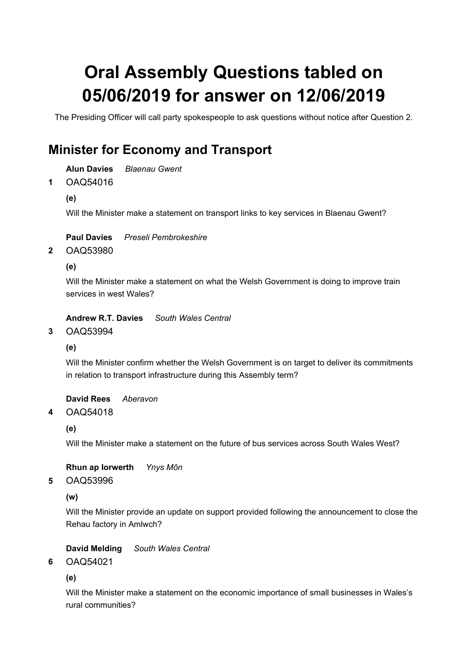# Oral Assembly Questions tabled on 05/06/2019 for answer on 12/06/2019

The Presiding Officer will call party spokespeople to ask questions without notice after Question 2.

## Minister for Economy and Transport

Alun Davies Blaenau Gwent

OAQ54016 1

(e)

Will the Minister make a statement on transport links to key services in Blaenau Gwent?

Paul Davies Preseli Pembrokeshire

OAQ53980 2

(e)

Will the Minister make a statement on what the Welsh Government is doing to improve train services in west Wales?

Andrew R.T. Davies South Wales Central

OAQ53994 3

(e)

Will the Minister confirm whether the Welsh Government is on target to deliver its commitments in relation to transport infrastructure during this Assembly term?

David Rees Aberavon

#### OAQ54018 4

(e)

Will the Minister make a statement on the future of bus services across South Wales West?

Rhun ap Iorwerth Ynys Môn

#### OAQ53996 5

(w)

Will the Minister provide an update on support provided following the announcement to close the Rehau factory in Amlwch?

David Melding South Wales Central

OAQ54021 6

(e)

Will the Minister make a statement on the economic importance of small businesses in Wales's rural communities?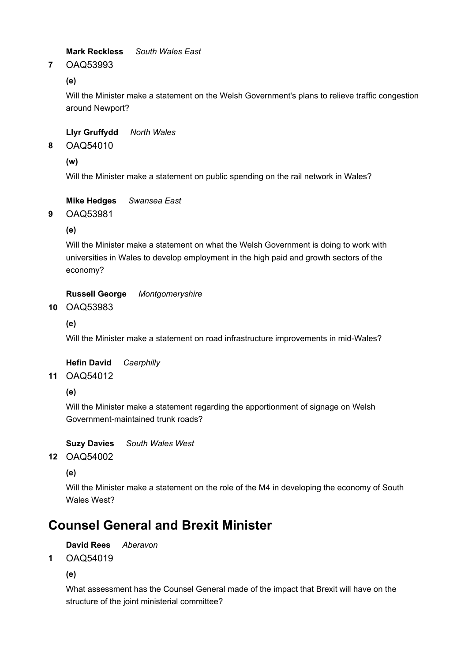Mark Reckless South Wales East

#### OAQ53993 7

(e)

Will the Minister make a statement on the Welsh Government's plans to relieve traffic congestion around Newport?

### Llyr Gruffydd North Wales

OAQ54010 8

(w)

Will the Minister make a statement on public spending on the rail network in Wales?

Mike Hedges Swansea East

OAQ53981 9

(e)

Will the Minister make a statement on what the Welsh Government is doing to work with universities in Wales to develop employment in the high paid and growth sectors of the economy?

Russell George Montgomeryshire

### 10 OAQ53983

(e)

Will the Minister make a statement on road infrastructure improvements in mid-Wales?

Hefin David Caerphilly

OAQ54012 11

(e)

Will the Minister make a statement regarding the apportionment of signage on Welsh Government-maintained trunk roads?

Suzy Davies South Wales West

OAQ54002 12

(e)

Will the Minister make a statement on the role of the M4 in developing the economy of South Wales West?

## Counsel General and Brexit Minister

David Rees Aberavon

OAQ54019 1

(e)

What assessment has the Counsel General made of the impact that Brexit will have on the structure of the joint ministerial committee?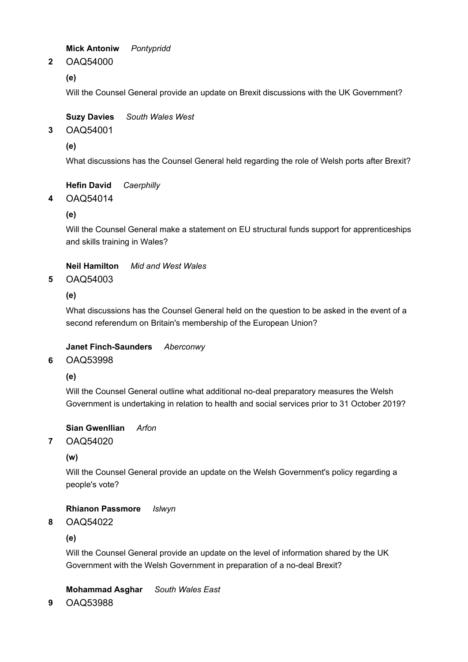Mick Antoniw Pontypridd

OAQ54000 2

(e)

Will the Counsel General provide an update on Brexit discussions with the UK Government?

Suzy Davies South Wales West

OAQ54001 3

(e)

What discussions has the Counsel General held regarding the role of Welsh ports after Brexit?

Hefin David Caerphilly

OAQ54014 4

(e)

Will the Counsel General make a statement on EU structural funds support for apprenticeships and skills training in Wales?

Neil Hamilton Mid and West Wales

OAQ54003 5

(e)

What discussions has the Counsel General held on the question to be asked in the event of a second referendum on Britain's membership of the European Union?

#### Janet Finch-Saunders Aberconwy

#### OAQ53998 6

(e)

Will the Counsel General outline what additional no-deal preparatory measures the Welsh Government is undertaking in relation to health and social services prior to 31 October 2019?

#### Sian Gwenllian Arfon

OAQ54020 7

(w)

Will the Counsel General provide an update on the Welsh Government's policy regarding a people's vote?

Rhianon Passmore Islwyn

#### OAQ54022 8

(e)

Will the Counsel General provide an update on the level of information shared by the UK Government with the Welsh Government in preparation of a no-deal Brexit?

Mohammad Asghar South Wales East

9 OAQ53988